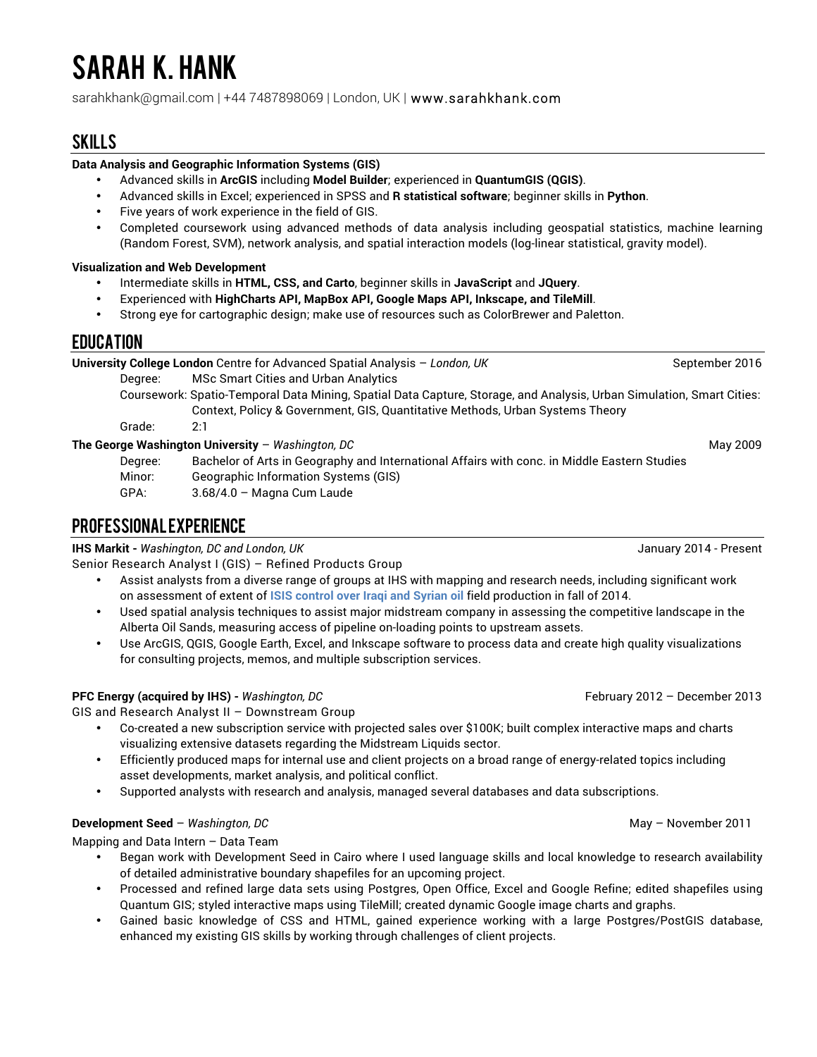# SARAH K. HANK

sarahkhank@gmail.com | +44 7487898069 | London, UK | www.sarahkhank.com

# SKILLS

#### **Data Analysis and Geographic Information Systems (GIS)**

- Advanced skills in **ArcGIS** including **Model Builder**; experienced in **QuantumGIS (QGIS)**.
- Advanced skills in Excel; experienced in SPSS and **R statistical software**; beginner skills in **Python**.
- Five years of work experience in the field of GIS.
- Completed coursework using advanced methods of data analysis including geospatial statistics, machine learning (Random Forest, SVM), network analysis, and spatial interaction models (log-linear statistical, gravity model).

#### **Visualization and Web Development**

- Intermediate skills in **HTML, CSS, and Carto**, beginner skills in **JavaScript** and **JQuery**.
- Experienced with **HighCharts API, MapBox API, Google Maps API, Inkscape, and TileMill**.
- Strong eye for cartographic design; make use of resources such as ColorBrewer and Paletton.

# EDUCATION

| University College London Centre for Advanced Spatial Analysis - London, UK |                                      | September 2016 |
|-----------------------------------------------------------------------------|--------------------------------------|----------------|
| Dearee:                                                                     | MSc Smart Cities and Urban Analytics |                |

Coursework: Spatio-Temporal Data Mining, Spatial Data Capture, Storage, and Analysis, Urban Simulation, Smart Cities: Context, Policy & Government, GIS, Quantitative Methods, Urban Systems Theory

Grade: 2:1

#### **The George Washington University** – *Washington, DC* May 2009 May 2009

Degree: Bachelor of Arts in Geography and International Affairs with conc. in Middle Eastern Studies Minor: Geographic Information Systems (GIS) GPA: 3.68/4.0 – Magna Cum Laude

# PROFESSIONAL EXPERIENCE

**IHS Markit -** *Washington, DC and London, UK* January 2014 - Present

Senior Research Analyst I (GIS) – Refined Products Group

- Assist analysts from a diverse range of groups at IHS with mapping and research needs, including significant work on assessment of extent of **ISIS control over Iraqi and Syrian oil** field production in fall of 2014.
- Used spatial analysis techniques to assist major midstream company in assessing the competitive landscape in the Alberta Oil Sands, measuring access of pipeline on-loading points to upstream assets.
- Use ArcGIS, QGIS, Google Earth, Excel, and Inkscape software to process data and create high quality visualizations for consulting projects, memos, and multiple subscription services.

#### **PFC Energy (acquired by IHS)** - *Washington, DC* **February 2012** – December 2013

GIS and Research Analyst II – Downstream Group

- Co-created a new subscription service with projected sales over \$100K; built complex interactive maps and charts visualizing extensive datasets regarding the Midstream Liquids sector.
- Efficiently produced maps for internal use and client projects on a broad range of energy-related topics including asset developments, market analysis, and political conflict.
- Supported analysts with research and analysis, managed several databases and data subscriptions.

#### **Development Seed –** *Washington, DC* **and** *Development Seed – Washington, DC* **and** *May – November 2011*

Mapping and Data Intern – Data Team

- Began work with Development Seed in Cairo where I used language skills and local knowledge to research availability of detailed administrative boundary shapefiles for an upcoming project.
- Processed and refined large data sets using Postgres, Open Office, Excel and Google Refine; edited shapefiles using Quantum GIS; styled interactive maps using TileMill; created dynamic Google image charts and graphs.
- Gained basic knowledge of CSS and HTML, gained experience working with a large Postgres/PostGIS database, enhanced my existing GIS skills by working through challenges of client projects.